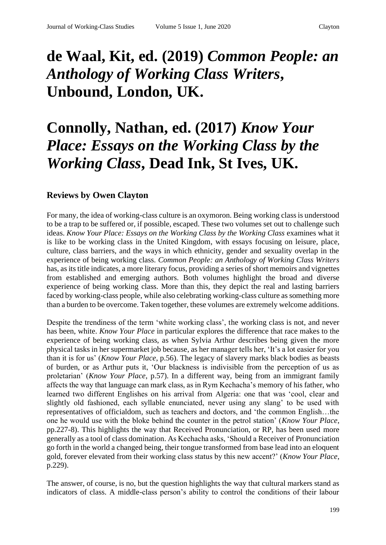## **de Waal, Kit, ed. (2019)** *Common People: an Anthology of Working Class Writers***, Unbound, London, UK.**

## **Connolly, Nathan, ed. (2017)** *Know Your Place: Essays on the Working Class by the Working Class***, Dead Ink, St Ives, UK.**

## **Reviews by Owen Clayton**

For many, the idea of working-class culture is an oxymoron. Being working class is understood to be a trap to be suffered or, if possible, escaped. These two volumes set out to challenge such ideas. *Know Your Place: Essays on the Working Class by the Working Class examines what it* is like to be working class in the United Kingdom, with essays focusing on leisure, place, culture, class barriers, and the ways in which ethnicity, gender and sexuality overlap in the experience of being working class. *Common People: an Anthology of Working Class Writers* has, as its title indicates, a more literary focus, providing a series of short memoirs and vignettes from established and emerging authors. Both volumes highlight the broad and diverse experience of being working class. More than this, they depict the real and lasting barriers faced by working-class people, while also celebrating working-class culture as something more than a burden to be overcome. Taken together, these volumes are extremely welcome additions.

Despite the trendiness of the term 'white working class', the working class is not, and never has been, white. *Know Your Place* in particular explores the difference that race makes to the experience of being working class, as when Sylvia Arthur describes being given the more physical tasks in her supermarket job because, as her manager tells her, 'It's a lot easier for you than it is for us' (*Know Your Place*, p.56). The legacy of slavery marks black bodies as beasts of burden, or as Arthur puts it, 'Our blackness is indivisible from the perception of us as proletarian' (*Know Your Place*, p.57). In a different way, being from an immigrant family affects the way that language can mark class, as in Rym Kechacha's memory of his father, who learned two different Englishes on his arrival from Algeria: one that was 'cool, clear and slightly old fashioned, each syllable enunciated, never using any slang' to be used with representatives of officialdom, such as teachers and doctors, and 'the common English…the one he would use with the bloke behind the counter in the petrol station' (*Know Your Place*, pp.227-8). This highlights the way that Received Pronunciation, or RP, has been used more generally as a tool of class domination. As Kechacha asks, 'Should a Receiver of Pronunciation go forth in the world a changed being, their tongue transformed from base lead into an eloquent gold, forever elevated from their working class status by this new accent?' (*Know Your Place*, p.229).

The answer, of course, is no, but the question highlights the way that cultural markers stand as indicators of class. A middle-class person's ability to control the conditions of their labour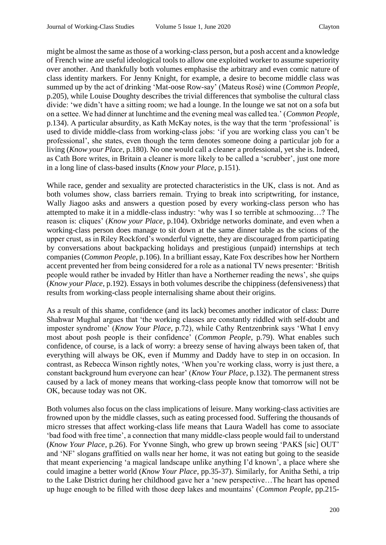might be almost the same as those of a working-class person, but a posh accent and a knowledge of French wine are useful ideological tools to allow one exploited worker to assume superiority over another. And thankfully both volumes emphasise the arbitrary and even comic nature of class identity markers. For Jenny Knight, for example, a desire to become middle class was summed up by the act of drinking 'Mat-oose Row-say' (Mateus Rosé) wine (*Common People*, p.205), while Louise Doughty describes the trivial differences that symbolise the cultural class divide: 'we didn't have a sitting room; we had a lounge. In the lounge we sat not on a sofa but on a settee. We had dinner at lunchtime and the evening meal was called tea.' (*Common People*, p.134). A particular absurdity, as Kath McKay notes, is the way that the term 'professional' is used to divide middle-class from working-class jobs: 'if you are working class you can't be professional', she states, even though the term denotes someone doing a particular job for a living (*Know your Place*, p.180). No one would call a cleaner a professional, yet she is. Indeed, as Cath Bore writes, in Britain a cleaner is more likely to be called a 'scrubber', just one more in a long line of class-based insults (*Know your Place*, p.151).

While race, gender and sexuality are protected characteristics in the UK, class is not. And as both volumes show, class barriers remain. Trying to break into scriptwriting, for instance, Wally Jiagoo asks and answers a question posed by every working-class person who has attempted to make it in a middle-class industry: 'why was I so terrible at schmoozing…? The reason is: cliques' (*Know your Place*, p.104). Oxbridge networks dominate, and even when a working-class person does manage to sit down at the same dinner table as the scions of the upper crust, as in Riley Rockford's wonderful vignette, they are discouraged from participating by conversations about backpacking holidays and prestigious (unpaid) internships at tech companies (*Common People*, p.106). In a brilliant essay, Kate Fox describes how her Northern accent prevented her from being considered for a role as a national TV news presenter: 'British people would rather be invaded by Hitler than have a Northerner reading the news', she quips (*Know your Place*, p.192). Essays in both volumes describe the chippiness (defensiveness) that results from working-class people internalising shame about their origins.

As a result of this shame, confidence (and its lack) becomes another indicator of class: Durre Shahwar Mughal argues that 'the working classes are constantly riddled with self-doubt and imposter syndrome' (*Know Your Place*, p.72), while Cathy Rentzenbrink says 'What I envy most about posh people is their confidence' (*Common People*, p.79). What enables such confidence, of course, is a lack of worry: a breezy sense of having always been taken of, that everything will always be OK, even if Mummy and Daddy have to step in on occasion. In contrast, as Rebecca Winson rightly notes, 'When you're working class, worry is just there, a constant background hum everyone can hear' (*Know Your Place*, p.132). The permanent stress caused by a lack of money means that working-class people know that tomorrow will not be OK, because today was not OK.

Both volumes also focus on the class implications of leisure. Many working-class activities are frowned upon by the middle classes, such as eating processed food. Suffering the thousands of micro stresses that affect working-class life means that Laura Wadell has come to associate 'bad food with free time', a connection that many middle-class people would fail to understand (*Know Your Place*, p.26). For Yvonne Singh, who grew up brown seeing 'PAKS [sic] OUT' and 'NF' slogans graffitied on walls near her home, it was not eating but going to the seaside that meant experiencing 'a magical landscape unlike anything I'd known', a place where she could imagine a better world (*Know Your Place*, pp.35-37). Similarly, for Anitha Sethi, a trip to the Lake District during her childhood gave her a 'new perspective…The heart has opened up huge enough to be filled with those deep lakes and mountains' (*Common People*, pp.215